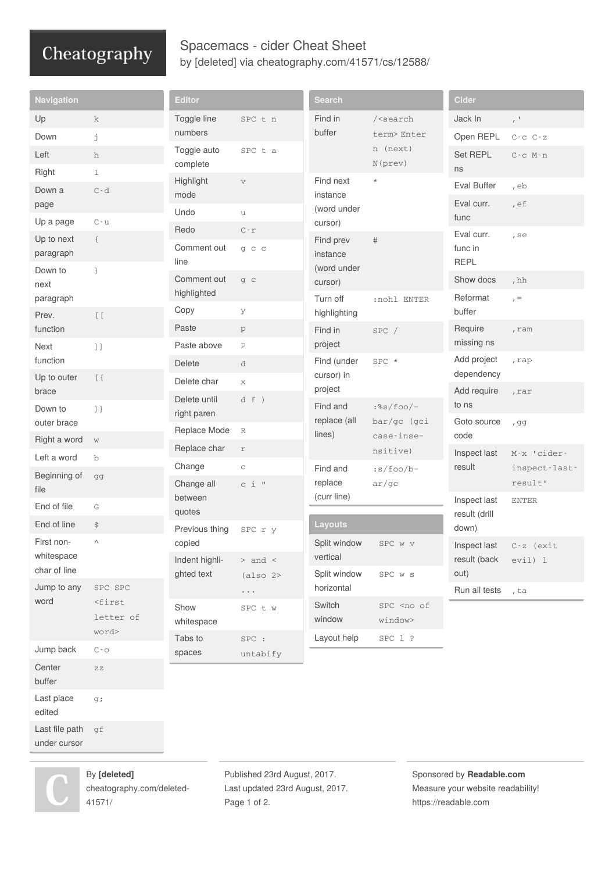## Cheatography

## Spacemacs - cider Cheat Sheet by [\[deleted\]](http://www.cheatography.com/deleted-41571/) via [cheatography.com/41571/cs/12588/](http://www.cheatography.com/deleted-41571/cheat-sheets/spacemacs-cider)

| <b>Navigation</b>                        |                                                | <b>Editor</b>               |                       | <b>Search</b>                                           |                                                                  | <b>Cider</b>                         |                       |
|------------------------------------------|------------------------------------------------|-----------------------------|-----------------------|---------------------------------------------------------|------------------------------------------------------------------|--------------------------------------|-----------------------|
| Up                                       | k                                              | Toggle line                 | SPC t n               | Find in<br>buffer                                       | / <search<br>term&gt; Enter<br/>n (next)<br/>N(prev)</search<br> | Jack In                              | $\tau^{-1}$           |
| Down                                     | j                                              | numbers                     |                       |                                                         |                                                                  | Open REPL                            | $C$ - $C$ - $C$ - $Z$ |
| Left                                     | h                                              | Toggle auto                 | SPC t a               |                                                         |                                                                  | Set REPL                             | $C-c$ $M-n$           |
| Right                                    | $\mathbf 1$                                    | complete                    |                       |                                                         |                                                                  | ns                                   |                       |
| Down a                                   | $C - d$                                        | Highlight<br>mode           | $\boldsymbol{\nabla}$ | Find next<br>instance<br>(word under                    | $^\star$                                                         | Eval Buffer                          | , eb                  |
| page                                     |                                                | Undo                        | u                     |                                                         |                                                                  | Eval curr.                           | , ef                  |
| Up a page                                | $C - u$                                        | Redo                        | $C$ - $\Upsilon$      | cursor)                                                 |                                                                  | func                                 |                       |
| Up to next<br>paragraph                  | $\{$                                           | Comment out<br>line         | g c c                 | Find prev<br>$\#$<br>instance<br>(word under<br>cursor) |                                                                  | Eval curr.<br>func in<br><b>REPL</b> | $,$ se                |
| Down to                                  | }                                              | Comment out                 | g c                   |                                                         |                                                                  | Show docs                            | , $hh$                |
| next<br>paragraph                        |                                                | highlighted                 |                       | Turn off                                                | :nohl ENTER                                                      | Reformat                             | $r =$                 |
| Prev.                                    | $\begin{bmatrix} 1 & 1 \\ 1 & 1 \end{bmatrix}$ | Copy                        | У                     | highlighting                                            |                                                                  | buffer                               |                       |
| function                                 |                                                | Paste                       | $\rm{p}$              | Find in                                                 | $SPC$ /                                                          | Require                              | , ram                 |
| Next                                     | $\left.\begin{array}{c}1\end{array}\right]$    | Paste above                 | $\, {\bf P}$          | project                                                 |                                                                  | missing ns                           |                       |
| function                                 |                                                | <b>Delete</b>               | d                     | Find (under<br>cursor) in<br>project                    | SPC *                                                            | Add project                          | , rap                 |
| Up to outer                              | $\left[\begin{array}{c} \end{array}\right]$    | Delete char                 | $\mathbf x$           |                                                         |                                                                  | dependency                           |                       |
| brace<br>Down to                         |                                                | Delete until<br>right paren | d f )                 | Find and<br>replace (all                                | $:$ %s/foo/-<br>bar/gc (gci                                      | Add require<br>to ns                 | , rar                 |
| outer brace                              | ]                                              |                             |                       |                                                         |                                                                  | Goto source                          | , gg                  |
| Right a word                             | $\mathbf W$                                    | Replace Mode                | $\mathbb R$           | lines)                                                  | case-inse-                                                       | code                                 |                       |
| Left a word                              | $\mathbf b$                                    | Replace char                | $\Upsilon$            |                                                         | nsitive)                                                         | Inspect last                         | M-x 'cider-           |
| Beginning of                             | gg                                             | Change                      | $\rm{C}$              | Find and                                                | $:s/foo/b-$                                                      | result                               | inspect-last-         |
| file                                     |                                                | Change all                  | $c i$ "               | replace<br>(curr line)                                  | ar/gc                                                            |                                      | result'               |
| End of file                              | G                                              | between<br>quotes           |                       |                                                         |                                                                  | Inspect last<br>result (drill        | <b>ENTER</b>          |
| End of line                              | \$                                             | Previous thing              | SPC r y               | Layouts                                                 |                                                                  | down)                                |                       |
| First non-<br>whitespace<br>char of line | Λ                                              | copied                      |                       | Split window<br>vertical                                | SPC w v                                                          | Inspect last                         | $C-z$ (exit           |
|                                          |                                                | Indent highli-              | $>$ and $\,<$         |                                                         |                                                                  | result (back                         | evil) 1               |
| Jump to any                              | SPC SPC                                        | ghted text                  | (also 2>              | Split window<br>horizontal                              | SPC w s                                                          | out)                                 |                       |
| word                                     | $<$ first                                      |                             | $\cdots$              | Switch                                                  | SPC <no of<="" td=""><td>Run all tests</td><td>, ta</td></no>    | Run all tests                        | , ta                  |
|                                          | letter of                                      | Show<br>whitespace          | SPC t w               | window                                                  | window>                                                          |                                      |                       |
|                                          | word>                                          | Tabs to                     | $\texttt{SPC}$ :      | Layout help                                             | SPC 1 ?                                                          |                                      |                       |
| Jump back                                | $\mathbb{C}$ - $\mathbb{O}$                    | spaces                      | untabify              |                                                         |                                                                  |                                      |                       |
| Center<br>buffer                         | $\mathop{\rm Z} \mathop{\rm Z}$                |                             |                       |                                                         |                                                                  |                                      |                       |
| Last place<br>edited                     | g;                                             |                             |                       |                                                         |                                                                  |                                      |                       |
| Last file path                           | gf                                             |                             |                       |                                                         |                                                                  |                                      |                       |

under cursor



By **[deleted]** [cheatography.com/deleted-](http://www.cheatography.com/deleted-41571/)41571/

Published 23rd August, 2017. Last updated 23rd August, 2017. Page 1 of 2.

Sponsored by **Readable.com** Measure your website readability! <https://readable.com>